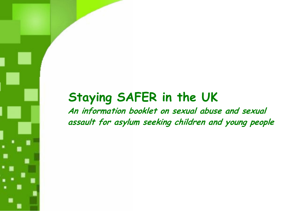# Staying SAFER in the UK

An information booklet on sexual abuse and sexual assault for asylum seeking children and young people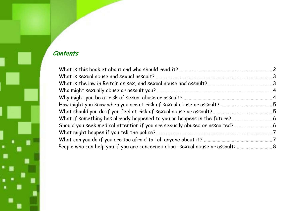# Contents

٠

| People who can help you if you are concerned about sexual abuse or assault: |  |
|-----------------------------------------------------------------------------|--|
|                                                                             |  |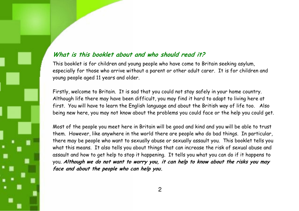#### What is this booklet about and who should read it?

This booklet is for children and young people who have come to Britain seeking asylum, especially for those who arrive without a parent or other adult carer. It is for children and young people aged 11 years and older.

Firstly, welcome to Britain. It is sad that you could not stay safely in your home country. Although life there may have been difficult, you may find it hard to adapt to living here at first. You will have to learn the English language and about the British way of life too. Also being new here, you may not know about the problems you could face or the help you could get.

Most of the people you meet here in Britain will be good and kind and you will be able to trust them. However, like anywhere in the world there are people who do bad things. In particular, there may be people who want to sexually abuse or sexually assault you. This booklet tells you what this means. It also tells you about things that can increase the risk of sexual abuse and assault and how to get help to stop it happening. It tells you what you can do if it happens to you. Although we do not want to worry you, it can help to know about the risks you may face and about the people who can help you.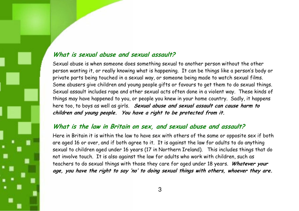#### What is sexual abuse and sexual assault?

Sexual abuse is when someone does something sexual to another person without the other person wanting it, or really knowing what is happening. It can be things like a person's body or private parts being touched in a sexual way, or someone being made to watch sexual films. Some abusers give children and young people gifts or favours to get them to do sexual things. Sexual assault includes rape and other sexual acts often done in a violent way. These kinds of things may have happened to you, or people you knew in your home country. Sadly, it happens here too, to boys as well as girls. Sexual abuse and sexual assault can cause harm to children and young people. You have a right to be protected from it.

#### What is the law in Britain on sex, and sexual abuse and assault?

Here in Britain it is within the law to have sex with others of the same or opposite sex if both are aged 16 or over, and if both agree to it. It is against the law for adults to do anything sexual to children aged under 16 years (17 in Northern Ireland). This includes things that do not involve touch. It is also against the law for adults who work with children, such as teachers to do sexual things with those they care for aged under 18 years. Whatever your age, you have the right to say 'no' to doing sexual things with others, whoever they are.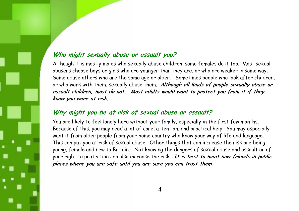#### Who might sexually abuse or assault you?

Although it is mostly males who sexually abuse children, some females do it too. Most sexual abusers choose boys or girls who are younger than they are, or who are weaker in some way. Some abuse others who are the same age or older. Sometimes people who look after children, or who work with them, sexually abuse them. Although all kinds of people sexually abuse or assault children, most do not. Most adults would want to protect you from it if they knew you were at risk.

# Why might you be at risk of sexual abuse or assault?

You are likely to feel lonely here without your family, especially in the first few months. Because of this, you may need a lot of care, attention, and practical help. You may especially want it from older people from your home country who know your way of life and language. This can put you at risk of sexual abuse. Other things that can increase the risk are being young, female and new to Britain. Not knowing the dangers of sexual abuse and assault or of your right to protection can also increase the risk. It is best to meet new friends in public places where you are safe until you are sure you can trust them.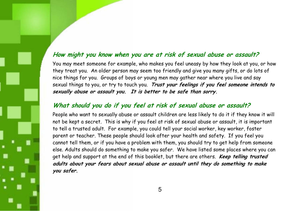#### How might you know when you are at risk of sexual abuse or assault?

You may meet someone for example, who makes you feel uneasy by how they look at you, or how they treat you. An older person may seem too friendly and give you many gifts, or do lots of nice things for you. Groups of boys or young men may gather near where you live and say sexual things to you, or try to touch you. Trust your feelings if you feel someone intends to sexually abuse or assault you. It is better to be safe than sorry.

# What should you do if you feel at risk of sexual abuse or assault?

People who want to sexually abuse or assault children are less likely to do it if they know it will not be kept a secret. This is why if you feel at risk of sexual abuse or assault, it is important to tell a trusted adult. For example, you could tell your social worker, key worker, foster parent or teacher. These people should look after your health and safety. If you feel you cannot tell them, or if you have a problem with them, you should try to get help from someone else. Adults should do something to make you safer. We have listed some places where you can get help and support at the end of this booklet, but there are others. Keep telling trusted adults about your fears about sexual abuse or assault until they do something to make you safer.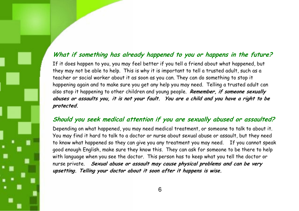#### What if something has already happened to you or happens in the future?

If it does happen to you, you may feel better if you tell a friend about what happened, but they may not be able to help. This is why it is important to tell a trusted adult, such as a teacher or social worker about it as soon as you can. They can do something to stop it happening again and to make sure you get any help you may need. Telling a trusted adult can also stop it happening to other children and young people. Remember, if someone sexually abuses or assaults you, it is not your fault. You are a child and you have a right to be protected.

# Should you seek medical attention if you are sexually abused or assaulted?

Depending on what happened, you may need medical treatment, or someone to talk to about it. You may find it hard to talk to a doctor or nurse about sexual abuse or assault, but they need to know what happened so they can give you any treatment you may need. If you cannot speak good enough English, make sure they know this. They can ask for someone to be there to help with language when you see the doctor. This person has to keep what you tell the doctor or nurse private. Sexual abuse or assault may cause physical problems and can be very upsetting. Telling your doctor about it soon after it happens is wise.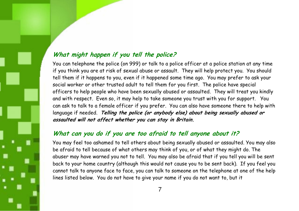# What might happen if you tell the police?

You can telephone the police (on 999) or talk to a police officer at a police station at any time if you think you are at risk of sexual abuse or assault. They will help protect you. You should tell them if it happens to you, even if it happened some time ago. You may prefer to ask your social worker or other trusted adult to tell them for you first. The police have special officers to help people who have been sexually abused or assaulted. They will treat you kindly and with respect. Even so, it may help to take someone you trust with you for support. You can ask to talk to a female officer if you prefer. You can also have someone there to help with language if needed. Telling the police (or anybody else) about being sexually abused or assaulted will not affect whether you can stay in Britain.

# What can you do if you are too afraid to tell anyone about it?

You may feel too ashamed to tell others about being sexually abused or assaulted. You may also be afraid to tell because of what others may think of you, or of what they might do. The abuser may have warned you not to tell. You may also be afraid that if you tell you will be sent back to your home country (although this would not cause you to be sent back). If you feel you cannot talk to anyone face to face, you can talk to someone on the telephone at one of the help lines listed below. You do not have to give your name if you do not want to, but it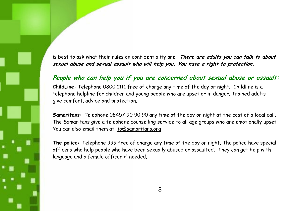is best to ask what their rules on confidentiality are. There are adults you can talk to about sexual abuse and sexual assault who will help you. You have a right to protection.

# People who can help you if you are concerned about sexual abuse or assault:

ChildLine: Telephone 0800 1111 free of charge any time of the day or night. Childline is a telephone helpline for children and young people who are upset or in danger. Trained adults give comfort, advice and protection.

Samaritans: Telephone 08457 90 90 90 any time of the day or night at the cost of a local call. The Samaritans give a telephone counselling service to all age groups who are emotionally upset. You can also email them at: jo@samaritans.org

The police: Telephone 999 free of charge any time of the day or night. The police have special officers who help people who have been sexually abused or assaulted. They can get help with language and a female officer if needed.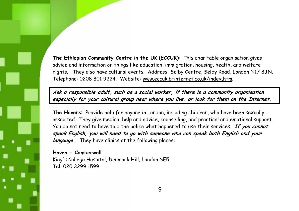The Ethiopian Community Centre in the UK (ECCUK): This charitable organisation gives advice and information on things like education, immigration, housing, health, and welfare rights. They also have cultural events. Address: Selby Centre, Selby Road, London N17 8JN. Telephone: 0208 801 9224. Website: www.eccuk.btinternet.co.uk/index.htm.

Ask a responsible adult, such as a social worker, if there is a community organisation especially for your cultural group near where you live, or look for them on the Internet.

The Havens: Provide help for anyone in London, including children, who have been sexually assaulted. They give medical help and advice, counselling, and practical and emotional support. You do not need to have told the police what happened to use their services. If you cannot speak English, you will need to go with someone who can speak both English and your *language.* They have clinics at the following places:

Haven - Camberwell King's College Hospital, Denmark Hill, London SE5 Tel: 020 3299 1599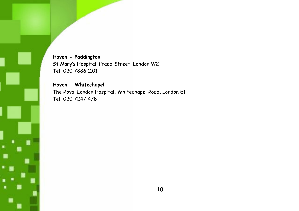Haven - Paddington St Mary's Hospital, Praed Street, London W2 Tel: 020 7886 1101

Haven - Whitechapel The Royal London Hospital, Whitechapel Road, London E1 Tel: 020 7247 478